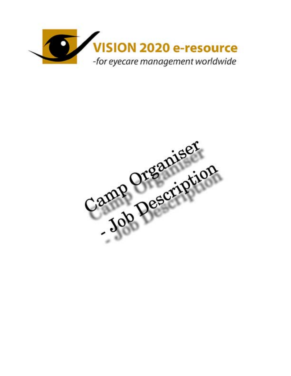

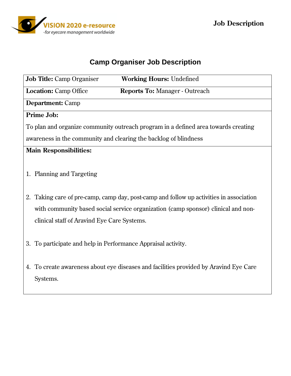

# **Camp Organiser Job Description**

|                                                                                    | <b>Job Title:</b> Camp Organiser<br><b>Working Hours: Undefined</b>                     |
|------------------------------------------------------------------------------------|-----------------------------------------------------------------------------------------|
|                                                                                    | <b>Location:</b> Camp Office<br><b>Reports To: Manager - Outreach</b>                   |
|                                                                                    | <b>Department:</b> Camp                                                                 |
| <b>Prime Job:</b>                                                                  |                                                                                         |
| To plan and organize community outreach program in a defined area towards creating |                                                                                         |
| awareness in the community and clearing the backlog of blindness                   |                                                                                         |
| <b>Main Responsibilities:</b>                                                      |                                                                                         |
|                                                                                    | 1. Planning and Targeting                                                               |
|                                                                                    | 2. Taking care of pre-camp, camp day, post-camp and follow up activities in association |
|                                                                                    | with community based social service organization (camp sponsor) clinical and non-       |
|                                                                                    | clinical staff of Aravind Eye Care Systems.                                             |
|                                                                                    | 3. To participate and help in Performance Appraisal activity.                           |
|                                                                                    | 4. To create awareness about eye diseases and facilities provided by Aravind Eye Care   |
|                                                                                    | Systems.                                                                                |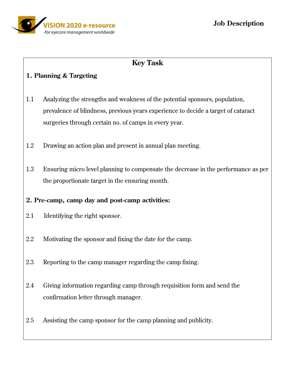

## **Key Task**

#### **1. Planning & Targeting**

- 1.1 Analyzing the strengths and weakness of the potential sponsors, population, prevalence of blindness, previous years experience to decide a target of cataract surgeries through certain no. of camps in every year.
- 1.2 Drawing an action plan and present in annual plan meeting.
- 1.3 Ensuring micro level planning to compensate the decrease in the performance as per the proportionate target in the ensuring month.

#### **2. Pre-camp, camp day and post-camp activities:**

- 2.1 Identifying the right sponsor.
- 2.2 Motivating the sponsor and fixing the date for the camp.
- 2.3 Reporting to the camp manager regarding the camp fixing.
- 2.4 Giving information regarding camp through requisition form and send the confirmation letter through manager.
- 2.5 Assisting the camp sponsor for the camp planning and publicity.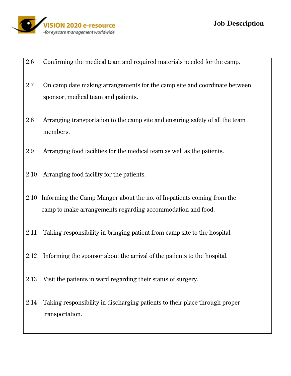

- 2.6 Confirming the medical team and required materials needed for the camp.
- 2.7 On camp date making arrangements for the camp site and coordinate between sponsor, medical team and patients.
- 2.8 Arranging transportation to the camp site and ensuring safety of all the team members.
- 2.9 Arranging food facilities for the medical team as well as the patients.
- 2.10 Arranging food facility for the patients.
- 2.10 Informing the Camp Manger about the no. of In-patients coming from the camp to make arrangements regarding accommodation and food.
- 2.11 Taking responsibility in bringing patient from camp site to the hospital.
- 2.12 Informing the sponsor about the arrival of the patients to the hospital.
- 2.13 Visit the patients in ward regarding their status of surgery.
- 2.14 Taking responsibility in discharging patients to their place through proper transportation.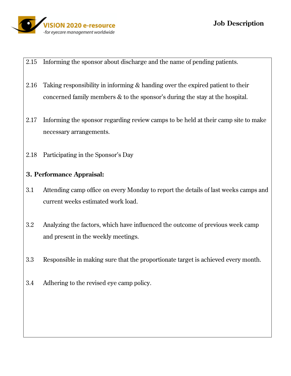

- 2.15 Informing the sponsor about discharge and the name of pending patients.
- 2.16 Taking responsibility in informing & handing over the expired patient to their concerned family members & to the sponsor's during the stay at the hospital.
- 2.17 Informing the sponsor regarding review camps to be held at their camp site to make necessary arrangements.
- 2.18 Participating in the Sponsor's Day

### **3. Performance Appraisal:**

- 3.1 Attending camp office on every Monday to report the details of last weeks camps and current weeks estimated work load.
- 3.2 Analyzing the factors, which have influenced the outcome of previous week camp and present in the weekly meetings.
- 3.3 Responsible in making sure that the proportionate target is achieved every month.
- 3.4 Adhering to the revised eye camp policy.